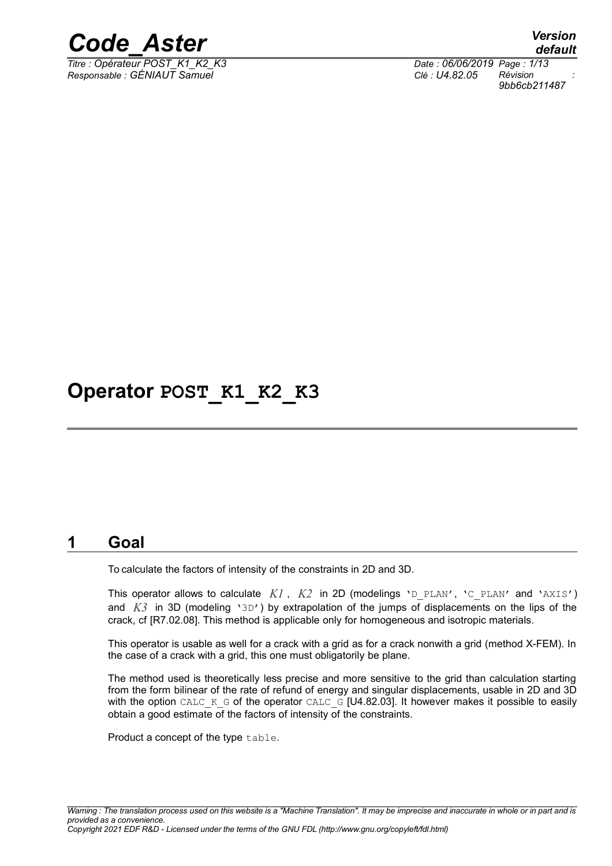

*Titre : Opérateur POST\_K1\_K2\_K3 Date : 06/06/2019 Page : 1/13 Responsable : GÉNIAUT Samuel Clé : U4.82.05 Révision :*

*default 9bb6cb211487*

# **Operator POST\_K1\_K2\_K3**

# **1 Goal**

To calculate the factors of intensity of the constraints in 2D and 3D.

This operator allows to calculate  $KI$ ,  $K2$  in 2D (modelings 'D PLAN', 'C PLAN' and 'AXIS') and *K3* in 3D (modeling '3D') by extrapolation of the jumps of displacements on the lips of the crack, cf [R7.02.08]. This method is applicable only for homogeneous and isotropic materials.

This operator is usable as well for a crack with a grid as for a crack nonwith a grid (method X-FEM). In the case of a crack with a grid, this one must obligatorily be plane.

The method used is theoretically less precise and more sensitive to the grid than calculation starting from the form bilinear of the rate of refund of energy and singular displacements, usable in 2D and 3D with the option CALC\_K\_G of the operator CALC\_G [U4.82.03]. It however makes it possible to easily obtain a good estimate of the factors of intensity of the constraints.

Product a concept of the type table.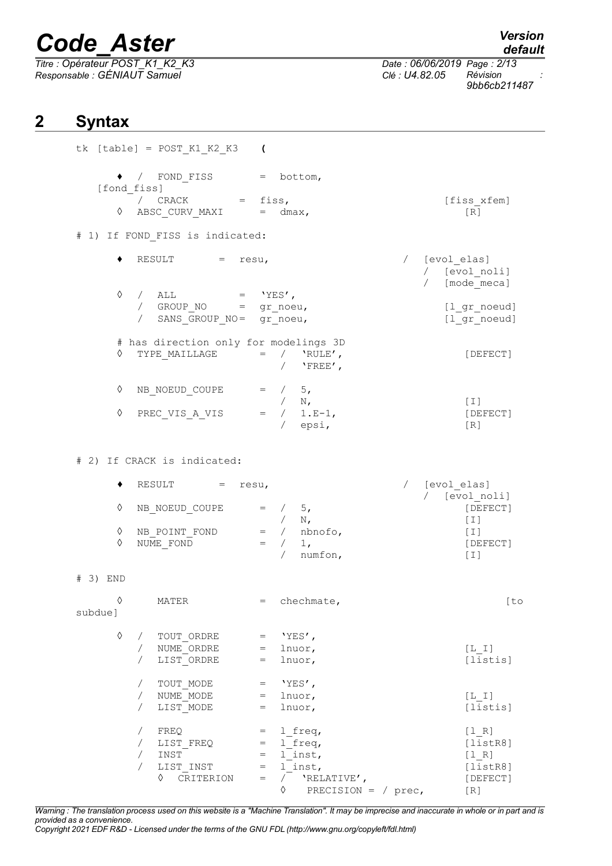*Titre : Opérateur POST\_K1\_K2\_K3 Date : 06/06/2019 Page : 2/13 Responsable : GÉNIAUT Samuel Clé : U4.82.05 Révision :*

*default*

*9bb6cb211487*

# **2 Syntax**

|          |             |                                        | $tk$ [table] = POST K1 K2 K3 (                                                                                                                                                        |                                                               |                                                          |            |                                                               |  |
|----------|-------------|----------------------------------------|---------------------------------------------------------------------------------------------------------------------------------------------------------------------------------------|---------------------------------------------------------------|----------------------------------------------------------|------------|---------------------------------------------------------------|--|
|          | [fond fiss] |                                        | $\bullet$ / FOND FISS = bottom,                                                                                                                                                       |                                                               |                                                          |            |                                                               |  |
|          | ♦           |                                        | / $CRACK$ = fiss,<br>$\triangle BSC_CURV_MAXI = dmax,$                                                                                                                                |                                                               |                                                          |            | [fiss xfem]<br>$\lceil R \rceil$                              |  |
|          |             |                                        | # 1) If FOND FISS is indicated:                                                                                                                                                       |                                                               |                                                          |            |                                                               |  |
|          |             |                                        | $RESULT$ = resu,                                                                                                                                                                      |                                                               |                                                          |            | / [evol elas]<br>/ [evol noli]<br>$\sqrt{2}$<br>[mode meca]   |  |
|          |             |                                        | $\Diamond$ / ALL = 'YES',<br>/ $GROUPNO = gr\_noeu,$<br>/ SANS GROUP NO= gr noeu,                                                                                                     |                                                               |                                                          |            | [1 gr noeud]<br>$[1gr_{\text{noeud}}]$                        |  |
|          | $\Diamond$  |                                        | # has direction only for modelings 3D<br>$\begin{tabular}{lllll} \bf{TYPE\_MAILLAGE} & = & / & 'RULE' \end{tabular},$                                                                 |                                                               | / $'$ $'$ $FREE'$ ,                                      |            | [DEFECT]                                                      |  |
|          | ♦<br>♦      |                                        | NB NOEUD COUPE = $/$ 5,<br>PREC VIS A VIS                                                                                                                                             |                                                               | $=$ / N,<br>= / 1.E-1,<br>/ epsi,                        |            | [1]<br>[DEFECT]<br>[R]                                        |  |
|          |             |                                        | # 2) If CRACK is indicated:                                                                                                                                                           |                                                               |                                                          |            |                                                               |  |
|          |             |                                        | RESULT $=$ resu,                                                                                                                                                                      |                                                               |                                                          | $\sqrt{2}$ | [evol elas]<br>/ [evol noli]                                  |  |
|          | ♦           |                                        | NB NOEUD COUPE = $/$ 5,                                                                                                                                                               |                                                               |                                                          |            | [DEFECT]<br>$[\;1\;]$                                         |  |
|          | ♦<br>♦      |                                        | $N = \begin{pmatrix} -1 & -1 & -1 \\ 0 & -1 & -1 \\ 0 & -1 & -1 \\ 0 & -1 & -1 \\ 0 & -1 & -1 \\ 0 & -1 & -1 \\ 0 & -1 & -1 \\ 0 & -1 & -1 \\ 0 & 0 & -1 \\ 0 & 0 & -1 \end{pmatrix}$ |                                                               | / $numfon,$                                              |            | $[\;1\;]$<br>[DEFECT]<br>[1]                                  |  |
| # 3) END |             |                                        |                                                                                                                                                                                       |                                                               |                                                          |            |                                                               |  |
| subdue]  | $\Diamond$  |                                        | MATER                                                                                                                                                                                 |                                                               | = chechmate,                                             |            | [to                                                           |  |
|          | ♦           | $\sqrt{2}$<br>$\sqrt{2}$<br>$\sqrt{2}$ | TOUT ORDRE<br>NUME ORDRE<br>LIST ORDRE                                                                                                                                                | $=$ 'YES',<br>$=$ lnuor,<br>$=$ lnuor,                        |                                                          |            | $[L I]$<br>[listis]                                           |  |
|          |             | $\sqrt{2}$<br>$\sqrt{2}$<br>$\sqrt{2}$ | TOUT MODE<br>NUME MODE<br>LIST MODE                                                                                                                                                   | $=$ 'YES',<br>$=$<br>$=$                                      | lnuor,<br>lnuor,                                         |            | [L I]<br>[listis]                                             |  |
|          |             | $\sqrt{2}$<br>$\sqrt{2}$<br>$\sqrt{2}$ | FREQ<br>LIST FREQ<br>INST<br>LIST INST<br>♦ CRITERION                                                                                                                                 | $= 1$ freq,<br>$= 1$ freq,<br>$=$<br>$=$<br>$=$<br>$\Diamond$ | 1 inst,<br>$\overline{1}$ inst,<br>PRECISION = $/$ prec, |            | [1 R]<br>[listsER8]<br>[1 R]<br>[listsER8]<br>[DEFECT]<br>[R] |  |

*Warning : The translation process used on this website is a "Machine Translation". It may be imprecise and inaccurate in whole or in part and is provided as a convenience.*

*Copyright 2021 EDF R&D - Licensed under the terms of the GNU FDL (http://www.gnu.org/copyleft/fdl.html)*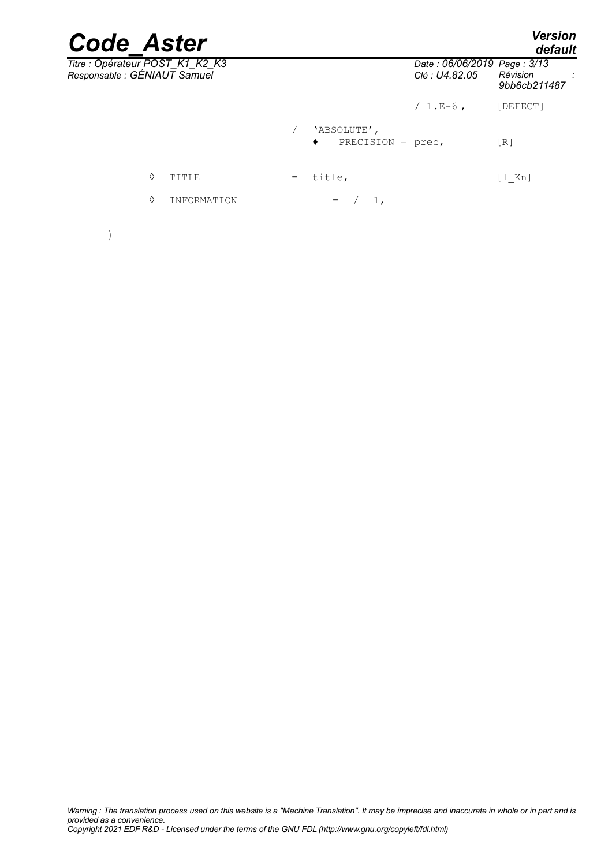|     |   |       |                                               | <b>Version</b><br>default |
|-----|---|-------|-----------------------------------------------|---------------------------|
|     |   |       | Date: 06/06/2019 Page: 3/13<br>Clé : U4.82.05 | Révision<br>9bb6cb211487  |
|     |   |       | $/ 1.E-6$ ,                                   | [DEFECT]                  |
|     | ٠ |       |                                               | [R]                       |
| $=$ |   |       |                                               | $[1$ Kn]                  |
|     |   | $1$ , |                                               |                           |
|     |   |       | 'ABSOLUTE',<br>title,<br>$=$                  | PRECISION = $prec,$       |

)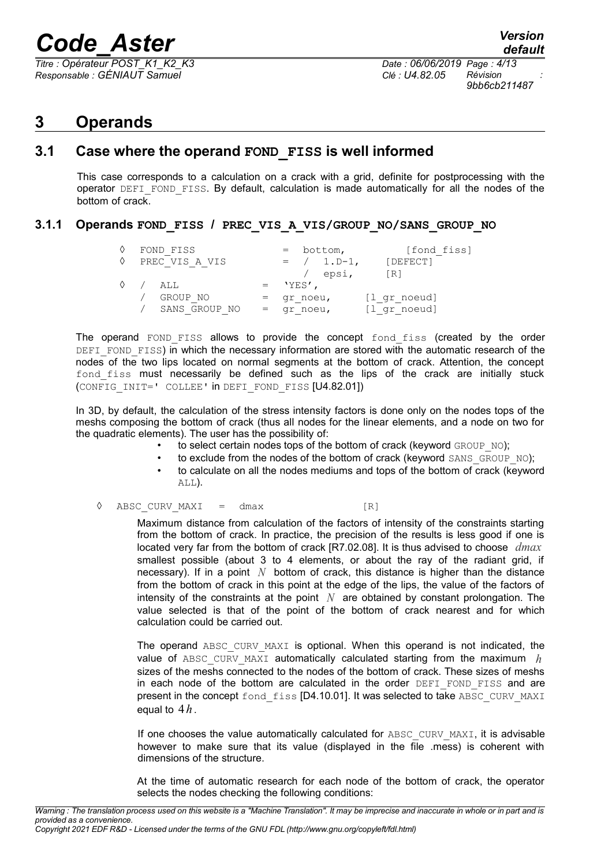*Titre : Opérateur POST\_K1\_K2\_K3 Date : 06/06/2019 Page : 4/13 Responsable : GÉNIAUT Samuel Clé : U4.82.05 Révision :*

*9bb6cb211487*

# **3 Operands**

### **3.1 Case where the operand FOND\_FISS is well informed**

This case corresponds to a calculation on a crack with a grid, definite for postprocessing with the operator DEFI\_FOND\_FISS. By default, calculation is made automatically for all the nodes of the bottom of crack.

#### **3.1.1 Operands FOND\_FISS / PREC\_VIS\_A\_VIS/GROUP\_NO/SANS\_GROUP\_NO**

| ♦<br>♦       | FOND FISS<br>PREC VIS A VIS |              | $=$ bottom,<br>$= / 1. D-1,$<br>epsi, | [fond fiss]<br>[DEFECT]<br>$\lceil R \rceil$ |
|--------------|-----------------------------|--------------|---------------------------------------|----------------------------------------------|
| $\Diamond$ / | ATT.                        | 'YES',       |                                       |                                              |
|              | GROUP NO                    | $=$ qr noeu, |                                       | [l gr noeud]                                 |
|              | SANS GROUP NO               | $=$ qr noeu, |                                       | [1 gr noeud]                                 |

The operand FOND FISS allows to provide the concept fond fiss (created by the order DEFI FOND FISS) in which the necessary information are stored with the automatic research of the nodes of the two lips located on normal segments at the bottom of crack. Attention, the concept fond fiss must necessarily be defined such as the lips of the crack are initially stuck (CONFIG\_INIT=' COLLEE' in DEFI\_FOND\_FISS [U4.82.01])

In 3D, by default, the calculation of the stress intensity factors is done only on the nodes tops of the meshs composing the bottom of crack (thus all nodes for the linear elements, and a node on two for the quadratic elements). The user has the possibility of:

- to select certain nodes tops of the bottom of crack (keyword GROUP\_NO);
- to exclude from the nodes of the bottom of crack (keyword SANS GROUP NO);
- to calculate on all the nodes mediums and tops of the bottom of crack (keyword ALL).
- $\Diamond$  ABSC CURV MAXI = dmax [R]

Maximum distance from calculation of the factors of intensity of the constraints starting from the bottom of crack. In practice, the precision of the results is less good if one is located very far from the bottom of crack [R7.02.08]. It is thus advised to choose *dmax* smallest possible (about 3 to 4 elements, or about the ray of the radiant grid, if necessary). If in a point  $N$  bottom of crack, this distance is higher than the distance from the bottom of crack in this point at the edge of the lips, the value of the factors of intensity of the constraints at the point *N* are obtained by constant prolongation. The value selected is that of the point of the bottom of crack nearest and for which calculation could be carried out.

The operand ABSC CURV MAXI is optional. When this operand is not indicated, the value of ABSC CURV MAXI automatically calculated starting from the maximum  $h$ sizes of the meshs connected to the nodes of the bottom of crack. These sizes of meshs in each node of the bottom are calculated in the order DEFI FOND FISS and are present in the concept fond fiss [D4.10.01]. It was selected to take ABSC CURV MAXI equal to  $4h$ .

If one chooses the value automatically calculated for ABSC CURV MAXI, it is advisable however to make sure that its value (displayed in the file .mess) is coherent with dimensions of the structure.

At the time of automatic research for each node of the bottom of crack, the operator selects the nodes checking the following conditions:

*Warning : The translation process used on this website is a "Machine Translation". It may be imprecise and inaccurate in whole or in part and is provided as a convenience.*

*Copyright 2021 EDF R&D - Licensed under the terms of the GNU FDL (http://www.gnu.org/copyleft/fdl.html)*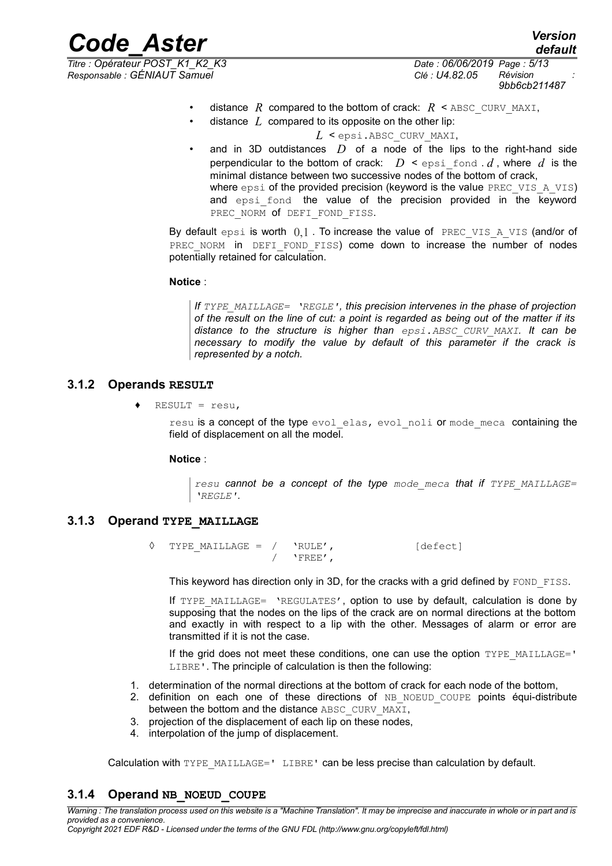*Responsable : GÉNIAUT Samuel Clé : U4.82.05 Révision :*

*Titre : Opérateur POST\_K1\_K2\_K3 Date : 06/06/2019 Page : 5/13 9bb6cb211487*

*default*

- distance *R* compared to the bottom of crack:  $R \leq$  ABSC CURV MAXI,
- distance *L* compared to its opposite on the other lip:
	- *L* < epsi.ABSC\_CURV\_MAXI,
- and in 3D outdistances *D* of a node of the lips to the right-hand side perpendicular to the bottom of crack:  $D \leq \text{epsi}$  fond  $d$ , where  $d$  is the minimal distance between two successive nodes of the bottom of crack, where  $\epsilon_{\text{psi}}$  of the provided precision (keyword is the value PREC VIS A VIS) and epsi fond the value of the precision provided in the keyword PREC\_NORM of DEFI\_FOND\_FISS.

By default epsi is worth  $0,1$ . To increase the value of PREC VIS A VIS (and/or of PREC NORM in DEFI FOND FISS) come down to increase the number of nodes potentially retained for calculation.

#### **Notice** :

*If TYPE\_MAILLAGE= 'REGLE', this precision intervenes in the phase of projection of the result on the line of cut: a point is regarded as being out of the matter if its distance to the structure is higher than epsi.ABSC\_CURV\_MAXI. It can be necessary to modify the value by default of this parameter if the crack is represented by a notch.*

#### **3.1.2 Operands RESULT**

 $RESULT = result$ 

resu is a concept of the type evol elas, evol noli or mode meca containing the field of displacement on all the model.

#### **Notice** :

*resu cannot be a concept of the type mode\_meca that if TYPE\_MAILLAGE= 'REGLE'.* 

#### **3.1.3 Operand TYPE\_MAILLAGE**

 $\Diamond$  TYPE MAILLAGE = / 'RULE',  $\Diamond$  [defect]  $/$  'FREE',

This keyword has direction only in 3D, for the cracks with a grid defined by FOND FISS.

If TYPE MAILLAGE= 'REGULATES', option to use by default, calculation is done by supposing that the nodes on the lips of the crack are on normal directions at the bottom and exactly in with respect to a lip with the other. Messages of alarm or error are transmitted if it is not the case.

If the grid does not meet these conditions, one can use the option TYPE\_MAILLAGE=' LIBRE'. The principle of calculation is then the following:

- 1. determination of the normal directions at the bottom of crack for each node of the bottom,
- 2. definition on each one of these directions of NB\_NOEUD\_COUPE points équi-distribute between the bottom and the distance ABSC\_CURV\_MAXI,
- 3. projection of the displacement of each lip on these nodes,
- 4. interpolation of the jump of displacement.

Calculation with TYPE\_MAILLAGE=' LIBRE' can be less precise than calculation by default.

### **3.1.4 Operand NB\_NOEUD\_COUPE**

*Warning : The translation process used on this website is a "Machine Translation". It may be imprecise and inaccurate in whole or in part and is provided as a convenience. Copyright 2021 EDF R&D - Licensed under the terms of the GNU FDL (http://www.gnu.org/copyleft/fdl.html)*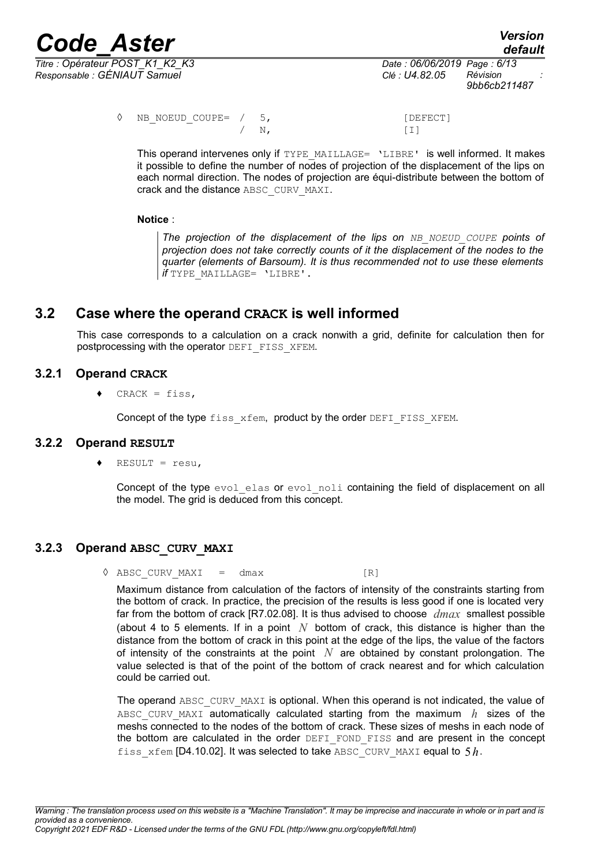

*Responsable : GÉNIAUT Samuel Clé : U4.82.05 Révision :*

*Titre : Opérateur POST\_K1\_K2\_K3 Date : 06/06/2019 Page : 6/13 9bb6cb211487*

> ◊ NB\_NOEUD\_COUPE= / 5, [DEFECT]  $/ N$ , [I]

This operand intervenes only if TYPE\_MAILLAGE= 'LIBRE' is well informed. It makes it possible to define the number of nodes of projection of the displacement of the lips on each normal direction. The nodes of projection are équi-distribute between the bottom of crack and the distance ABSC\_CURV\_MAXI.

#### **Notice** :

*The projection of the displacement of the lips on NB\_NOEUD\_COUPE points of projection does not take correctly counts of it the displacement of the nodes to the quarter (elements of Barsoum). It is thus recommended not to use these elements if* TYPE\_MAILLAGE= 'LIBRE'.

# **3.2 Case where the operand CRACK is well informed**

This case corresponds to a calculation on a crack nonwith a grid, definite for calculation then for postprocessing with the operator DEFI\_FISS\_XFEM.

#### **3.2.1 Operand CRACK**

 $CRACT = fiss,$ 

Concept of the type fiss xfem, product by the order DEFI\_FISS\_XFEM.

#### **3.2.2 Operand RESULT**

 $RESULT = result$ ,

Concept of the type evol elas or evol noli containing the field of displacement on all the model. The grid is deduced from this concept.

### **3.2.3 Operand ABSC\_CURV\_MAXI**

 $\Diamond$  ABSC CURV MAXI = dmax [R]

Maximum distance from calculation of the factors of intensity of the constraints starting from the bottom of crack. In practice, the precision of the results is less good if one is located very far from the bottom of crack [R7.02.08]. It is thus advised to choose *dmax* smallest possible (about 4 to 5 elements. If in a point *N* bottom of crack, this distance is higher than the distance from the bottom of crack in this point at the edge of the lips, the value of the factors of intensity of the constraints at the point *N* are obtained by constant prolongation. The value selected is that of the point of the bottom of crack nearest and for which calculation could be carried out.

The operand ABSC\_CURV\_MAXI is optional. When this operand is not indicated, the value of ABSC CURV MAXI automatically calculated starting from the maximum  $h$  sizes of the meshs connected to the nodes of the bottom of crack. These sizes of meshs in each node of the bottom are calculated in the order DEFI\_FOND\_FISS and are present in the concept fiss  $x$ fem [D4.10.02]. It was selected to take ABSC CURV MAXI equal to  $5h$ .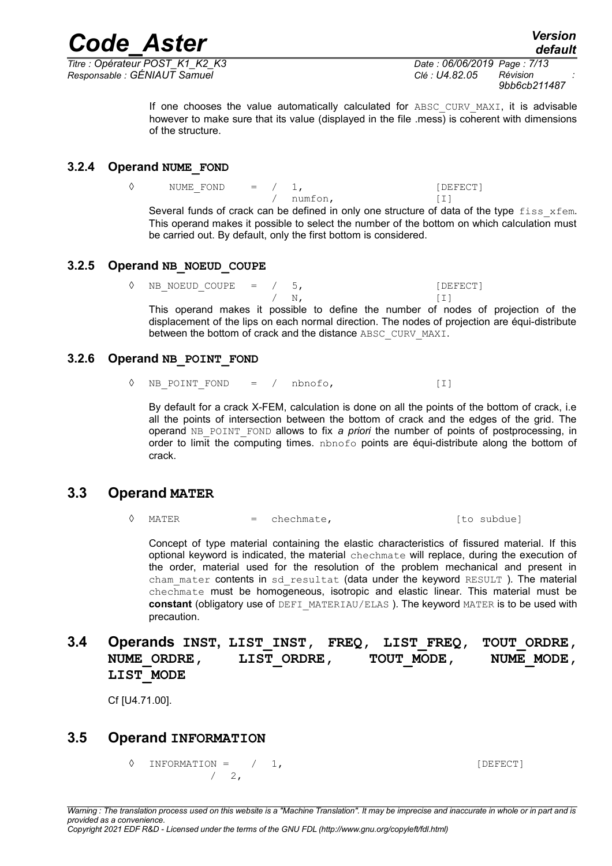*Titre : Opérateur POST\_K1\_K2\_K3 Date : 06/06/2019 Page : 7/13 Responsable : GÉNIAUT Samuel Clé : U4.82.05 Révision :*

*9bb6cb211487*

If one chooses the value automatically calculated for ABSC CURV MAXI, it is advisable however to make sure that its value (displayed in the file .mess) is coherent with dimensions of the structure.

#### **3.2.4 Operand NUME\_FOND**

 $\Diamond$  NUME FOND = / 1, [DEFECT] / numfon, [I]

Several funds of crack can be defined in only one structure of data of the type  $f$ iss  $xf$ em. This operand makes it possible to select the number of the bottom on which calculation must be carried out. By default, only the first bottom is considered.

#### **3.2.5 Operand NB\_NOEUD\_COUPE**

NB NOEUD COUPE =  $/$  5, [DEFECT]  $/ N,$  [I] This operand makes it possible to define the number of nodes of projection of the displacement of the lips on each normal direction. The nodes of projection are équi-distribute

#### **3.2.6 Operand NB\_POINT\_FOND**

 $\Diamond$  NB POINT FOND = / nbnofo, [I]

between the bottom of crack and the distance ABSC\_CURV\_MAXI.

By default for a crack X-FEM, calculation is done on all the points of the bottom of crack, i.e all the points of intersection between the bottom of crack and the edges of the grid. The operand NB\_POINT\_FOND allows to fix *a priori* the number of points of postprocessing, in order to limit the computing times. nbnofo points are équi-distribute along the bottom of crack.

### **3.3 Operand MATER**

 $\Diamond$  MATER = chechmate,  $\Diamond$  [to subdue]

Concept of type material containing the elastic characteristics of fissured material. If this optional keyword is indicated, the material chechmate will replace, during the execution of the order, material used for the resolution of the problem mechanical and present in cham mater contents in sd resultat (data under the keyword RESULT). The material chechmate must be homogeneous, isotropic and elastic linear. This material must be **constant** (obligatory use of DEFI\_MATERIAU/ELAS ). The keyword MATER is to be used with precaution.

### **3.4 Operands INST, LIST\_INST, FREQ, LIST\_FREQ, TOUT\_ORDRE,** NUME\_ORDRE, LIST\_ORDRE, TOUT\_MODE, NUME\_MODE, **LIST\_MODE**

Cf [U4.71.00].

### **3.5 Operand INFORMATION**

 $\Diamond$  INFORMATION =  $/$  1,  $/ 2$ ,

*Copyright 2021 EDF R&D - Licensed under the terms of the GNU FDL (http://www.gnu.org/copyleft/fdl.html)*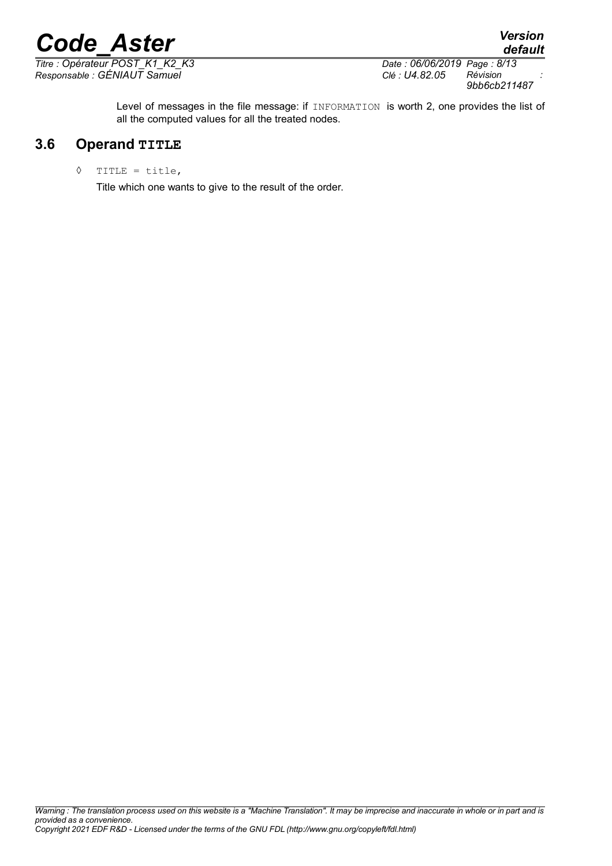*Titre : Opérateur POST\_K1\_K2\_K3 Date : 06/06/2019 Page : 8/13*

*Responsable : GÉNIAUT Samuel Clé : U4.82.05 Révision : 9bb6cb211487*

*default*

Level of messages in the file message: if INFORMATION is worth 2, one provides the list of all the computed values for all the treated nodes.

# **3.6 Operand TITLE**

◊ TITLE = title,

Title which one wants to give to the result of the order.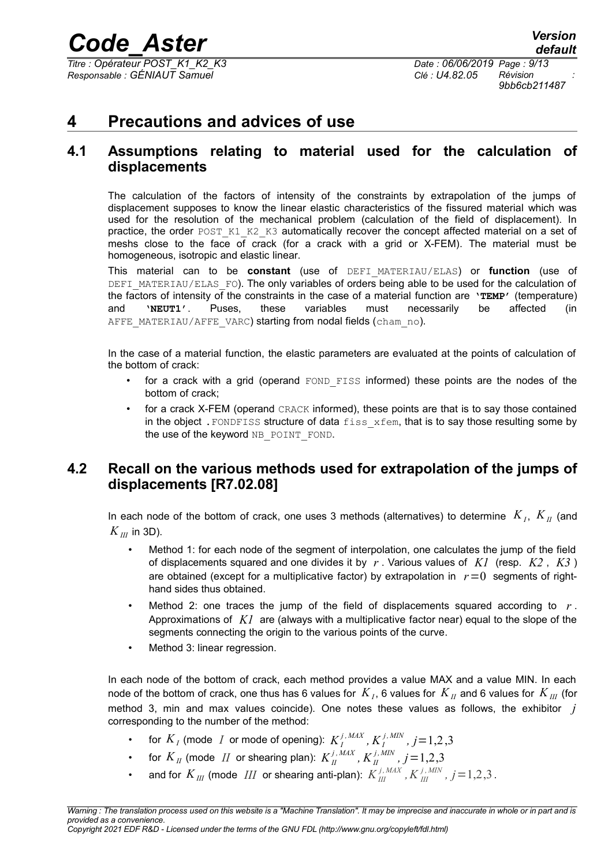*Titre : Opérateur POST\_K1\_K2\_K3 Date : 06/06/2019 Page : 9/13 Responsable : GÉNIAUT Samuel Clé : U4.82.05 Révision :*

*9bb6cb211487*

# **4 Precautions and advices of use**

### **4.1 Assumptions relating to material used for the calculation of displacements**

The calculation of the factors of intensity of the constraints by extrapolation of the jumps of displacement supposes to know the linear elastic characteristics of the fissured material which was used for the resolution of the mechanical problem (calculation of the field of displacement). In practice, the order POST\_K1\_K2\_K3 automatically recover the concept affected material on a set of meshs close to the face of crack (for a crack with a grid or X-FEM). The material must be homogeneous, isotropic and elastic linear.

This material can to be **constant** (use of DEFI\_MATERIAU/ELAS) or **function** (use of DEFI\_MATERIAU/ELAS\_FO). The only variables of orders being able to be used for the calculation of the factors of intensity of the constraints in the case of a material function are **'TEMP'** (temperature) and **'NEUT1'**. Puses, these variables must necessarily be affected (in AFFE\_MATERIAU/AFFE\_VARC) starting from nodal fields (cham\_no).

In the case of a material function, the elastic parameters are evaluated at the points of calculation of the bottom of crack:

- for a crack with a grid (operand FOND FISS informed) these points are the nodes of the bottom of crack;
- for a crack X-FEM (operand CRACK informed), these points are that is to say those contained in the object. FONDFISS structure of data fiss xfem, that is to say those resulting some by the use of the keyword NB\_POINT\_FOND.

# <span id="page-8-0"></span>**4.2 Recall on the various methods used for extrapolation of the jumps of displacements [R7.02.08]**

In each node of the bottom of crack, one uses 3 methods (alternatives) to determine  $\ K_{I},\ K_{II}$  (and  $K_{III}$  in 3D).

- Method 1: for each node of the segment of interpolation, one calculates the jump of the field of displacements squared and one divides it by *r* . Various values of *K1* (resp. *K2* , *K3* ) are obtained (except for a multiplicative factor) by extrapolation in  $r=0$  segments of righthand sides thus obtained.
- Method 2: one traces the jump of the field of displacements squared according to *r* . Approximations of *K1* are (always with a multiplicative factor near) equal to the slope of the segments connecting the origin to the various points of the curve.
- Method 3: linear regression.

In each node of the bottom of crack, each method provides a value MAX and a value MIN. In each node of the bottom of crack, one thus has 6 values for  $\,K_{_{I}}$ , 6 values for  $\,K_{_{II}}$  and 6 values for  $\,K_{_{III}}$  (for method 3, min and max values coincide). One notes these values as follows, the exhibitor *j* corresponding to the number of the method:

- for  $K_I$  (mode  $I$  or mode of opening):  $K_I^{j, \, MAX}$  ,  $K_I^{j, \, MIN}$  ,  $j\!=\!1,2,3$
- for  $K_{II}$  (mode  $II$  or shearing plan):  $K_{II}^{j, \, MAX}$  ,  $K_{II}^{j, \, MIN}$  ,  $j$  = 1,2,3
- and for  $K_{I\!I\!I}$  (mode  $I\!I\!I$  or shearing anti-plan):  $K^{j,M\!I\!N}_{I\!I\!I}$  ,  $K^{j,M\!I\!N}_{I\!I\!I}$  ,  $j\!=\!1,\!2,\!3$  .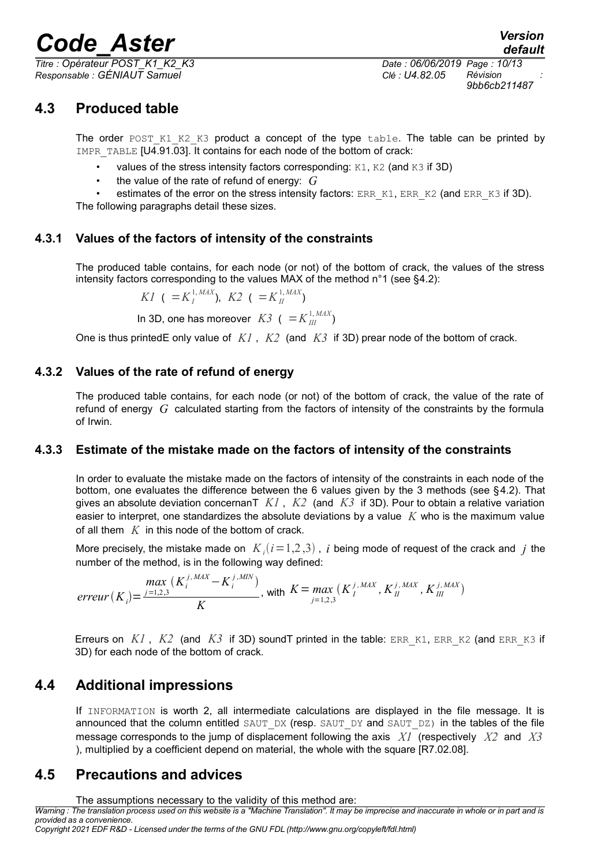*Responsable : GÉNIAUT Samuel Clé : U4.82.05 Révision :*

*default Titre : Opérateur POST\_K1\_K2\_K3 Date : 06/06/2019 Page : 10/13 9bb6cb211487*

# **4.3 Produced table**

The order POST K1 K2 K3 product a concept of the type table. The table can be printed by IMPR\_TABLE [U4.91.03]. It contains for each node of the bottom of crack:

- values of the stress intensity factors corresponding:  $K1$ ,  $K2$  (and  $K3$  if 3D)
- the value of the rate of refund of energy:  $G$

estimates of the error on the stress intensity factors: ERR\_K1, ERR\_K2 (and ERR\_K3 if 3D). The following paragraphs detail these sizes.

### **4.3.1 Values of the factors of intensity of the constraints**

The produced table contains, for each node (or not) of the bottom of crack, the values of the stress intensity factors corresponding to the values MAX of the method  $n^{\circ}1$  (see [§4.2\)](#page-8-0):

$$
KI \ ( \ =K_I^{1, \, MAX}), \ K2 \ ( \ =K_{II}^{1, \, MAX})
$$

In 3D, one has moreover  $K3$  (  $=$   $K_{III}^{1,MAX}$ )

One is thus printedE only value of *K1* , *K2* (and *K3* if 3D) prear node of the bottom of crack.

#### **4.3.2 Values of the rate of refund of energy**

The produced table contains, for each node (or not) of the bottom of crack, the value of the rate of refund of energy *G* calculated starting from the factors of intensity of the constraints by the formula of Irwin.

### **4.3.3 Estimate of the mistake made on the factors of intensity of the constraints**

In order to evaluate the mistake made on the factors of intensity of the constraints in each node of the bottom, one evaluates the difference between the 6 values given by the 3 methods (see §[4.2\)](#page-8-0). That gives an absolute deviation concernanT *K1* , *K2* (and *K3* if 3D). Pour to obtain a relative variation easier to interpret, one standardizes the absolute deviations by a value *K* who is the maximum value of all them *K* in this node of the bottom of crack.

More precisely, the mistake made on  $K_i(i=1,2,3)$  , i being mode of request of the crack and  $j$  the number of the method, is in the following way defined:

$$
error(K_i) = \frac{max\limits_{j=1,2,3} (K_i^{j,MAX} - K_i^{j,MIN})}{K}, \text{ with } K = max\limits_{j=1,2,3} (K_i^{j,MAX}, K_{II}^{j,MAX}, K_{III}^{j,MAX})
$$

Erreurs on  $KI$ ,  $K2$  (and  $K3$  if 3D) sound printed in the table: ERR, K1, ERR, K2 (and ERR, K3 if 3D) for each node of the bottom of crack.

# **4.4 Additional impressions**

If INFORMATION is worth 2, all intermediate calculations are displayed in the file message. It is announced that the column entitled SAUT\_DX (resp. SAUT\_DY and SAUT\_DZ) in the tables of the file message corresponds to the jump of displacement following the axis *X1* (respectively *X2* and *X3* ), multiplied by a coefficient depend on material, the whole with the square [R7.02.08].

# **4.5 Precautions and advices**

The assumptions necessary to the validity of this method are:

*Warning : The translation process used on this website is a "Machine Translation". It may be imprecise and inaccurate in whole or in part and is provided as a convenience.*

*Copyright 2021 EDF R&D - Licensed under the terms of the GNU FDL (http://www.gnu.org/copyleft/fdl.html)*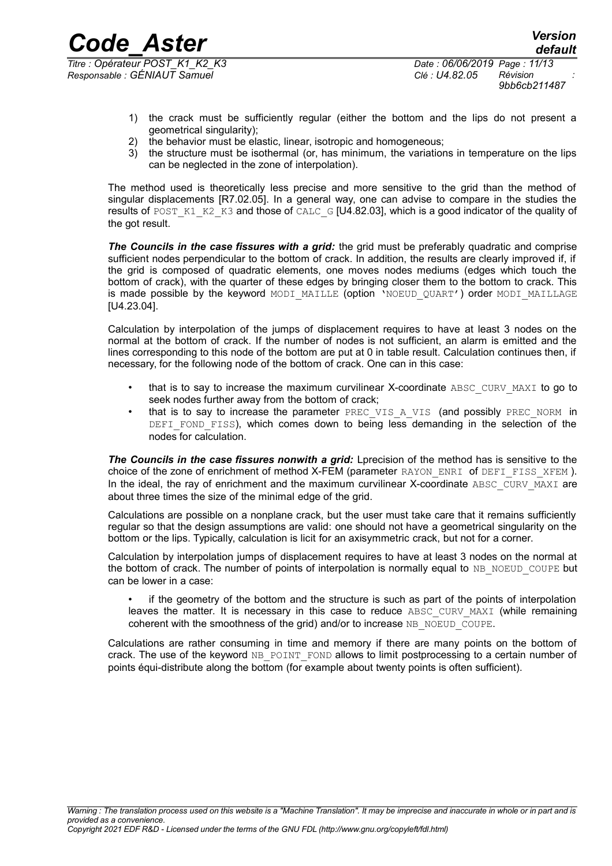*Code\_Aster Version Titre : Opérateur POST\_K1\_K2\_K3 Date : 06/06/2019 Page : 11/13 Responsable : GÉNIAUT Samuel Clé : U4.82.05 Révision :*

- 1) the crack must be sufficiently regular (either the bottom and the lips do not present a geometrical singularity);
- 2) the behavior must be elastic, linear, isotropic and homogeneous;
- 3) the structure must be isothermal (or, has minimum, the variations in temperature on the lips can be neglected in the zone of interpolation).

The method used is theoretically less precise and more sensitive to the grid than the method of singular displacements [R7.02.05]. In a general way, one can advise to compare in the studies the results of POST\_K1\_K2\_K3 and those of CALC\_G  $[U4.82.03]$ , which is a good indicator of the quality of the got result.

*The Councils in the case fissures with a grid:* the grid must be preferably quadratic and comprise sufficient nodes perpendicular to the bottom of crack. In addition, the results are clearly improved if, if the grid is composed of quadratic elements, one moves nodes mediums (edges which touch the bottom of crack), with the quarter of these edges by bringing closer them to the bottom to crack. This is made possible by the keyword MODI\_MAILLE (option 'NOEUD QUART') order MODI\_MAILLAGE [U4.23.04].

Calculation by interpolation of the jumps of displacement requires to have at least 3 nodes on the normal at the bottom of crack. If the number of nodes is not sufficient, an alarm is emitted and the lines corresponding to this node of the bottom are put at 0 in table result. Calculation continues then, if necessary, for the following node of the bottom of crack. One can in this case:

- that is to say to increase the maximum curvilinear X-coordinate ABSC\_CURV\_MAXI to go to seek nodes further away from the bottom of crack;
- that is to say to increase the parameter PREC\_VIS\_A\_VIS (and possibly PREC\_NORM in DEFI FOND FISS), which comes down to being less demanding in the selection of the nodes for calculation.

The Councils in the case fissures nonwith a grid: Lprecision of the method has is sensitive to the choice of the zone of enrichment of method X-FEM (parameter RAYON ENRI of DEFI FISS XFEM). In the ideal, the ray of enrichment and the maximum curvilinear X-coordinate ABSC\_CURV\_MAXI are about three times the size of the minimal edge of the grid.

Calculations are possible on a nonplane crack, but the user must take care that it remains sufficiently regular so that the design assumptions are valid: one should not have a geometrical singularity on the bottom or the lips. Typically, calculation is licit for an axisymmetric crack, but not for a corner.

Calculation by interpolation jumps of displacement requires to have at least 3 nodes on the normal at the bottom of crack. The number of points of interpolation is normally equal to NB\_NOEUD\_COUPE but can be lower in a case:

if the geometry of the bottom and the structure is such as part of the points of interpolation leaves the matter. It is necessary in this case to reduce ABSC CURV MAXI (while remaining coherent with the smoothness of the grid) and/or to increase NB\_NOEUD\_COUPE.

Calculations are rather consuming in time and memory if there are many points on the bottom of crack. The use of the keyword NB\_POINT\_FOND allows to limit postprocessing to a certain number of points équi-distribute along the bottom (for example about twenty points is often sufficient).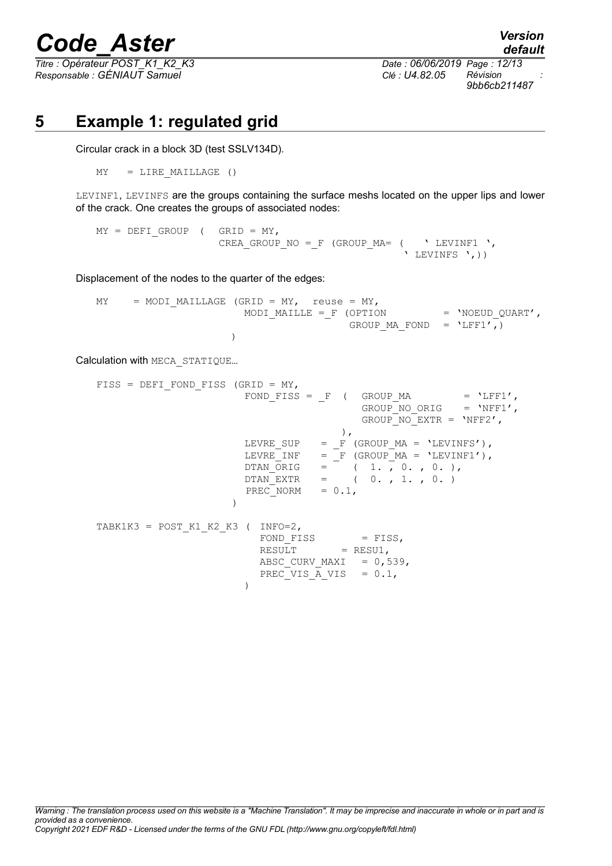*Titre : Opérateur POST\_K1\_K2\_K3 Date : 06/06/2019 Page : 12/13 Responsable : GÉNIAUT Samuel Clé : U4.82.05 Révision :*

*default 9bb6cb211487*

# **5 Example 1: regulated grid**

Circular crack in a block 3D (test SSLV134D).

 $MY = LINE MAILLAGE ()$ 

LEVINF1, LEVINFS are the groups containing the surface meshs located on the upper lips and lower of the crack. One creates the groups of associated nodes:

 $MY = DEFI$  GROUP ( GRID = MY, CREA GROUP NO = F (GROUP MA=  $($  ' LEVINF1 ', ' LEVINFS ',))

Displacement of the nodes to the quarter of the edges:

 $MY = MODI MALLLAGE (GRID = MY, reuse = MY,$ MODI MAILLE = F (OPTION = 'NOEUD QUART', GROUP MA FOND =  $'LFF1',)$ )

Calculation with MECA\_STATIQUE…

FISS = DEFI\_FOND\_FISS (GRID = MY, FOND\_FISS =  $_F$  ( GROUP\_MA = 'LFF1', GROUP NO ORIG =  $'NFF1',$  $GROUPNO$  EXTR = 'NFF2', ), LEVRE\_SUP =  $\overrightarrow{F}$  (GROUP\_MA = 'LEVINFS'),  $LEVRE\_INF$  =  $_F$  (GROUP\_MA = 'LEVINF1'),  $DTAN_ORIG = (1., 0., 0.),$  $DTAN EXTR$  = ( 0. , 1. , 0. )  $PREC$  NORM =  $0.1$ , ) TABK1K3 = POST K1 K2 K3 ( INFO=2,  $FOND_FISS$  =  $FISS$ ,  $\text{RESULT} = \text{RESULT}$ , ABSC CURV MAXI =  $0,539$ , PREC\_VIS  $\overline{A}$  VIS = 0.1, )